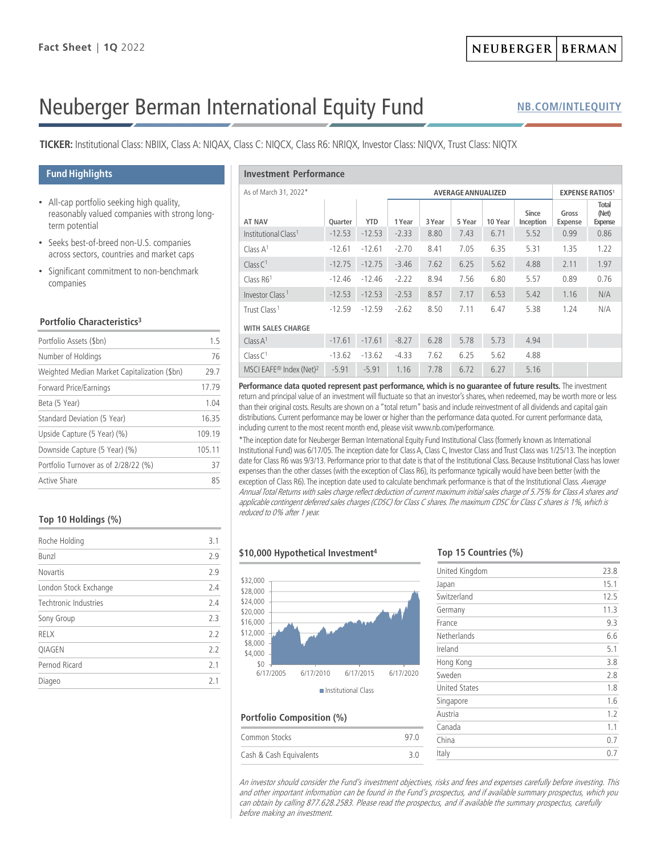# Neuberger Berman International Equity Fund

**[NB.COM/INTLEQUITY](http://www.nb.com/Pages/Public/en-us/Products/international-equity-fund.aspx)**

**TICKER:** Institutional Class: NBIIX, Class A: NIQAX, Class C: NIQCX, Class R6: NRIQX, Investor Class: NIQVX, Trust Class: NIQTX

#### **Fund Highlights**

- All-cap portfolio seeking high quality, reasonably valued companies with strong longterm potential
- Seeks best-of-breed non-U.S. companies across sectors, countries and market caps
- Significant commitment to non-benchmark companies

#### **Portfolio Characteristics3**

| Portfolio Assets (\$bn)                      | 1.5    |
|----------------------------------------------|--------|
| Number of Holdings                           | 76     |
| Weighted Median Market Capitalization (\$bn) | 29.7   |
| Forward Price/Earnings                       | 17.79  |
| Beta (5 Year)                                | 1.04   |
| Standard Deviation (5 Year)                  | 16.35  |
| Upside Capture (5 Year) (%)                  | 109.19 |
| Downside Capture (5 Year) (%)                | 105.11 |
| Portfolio Turnover as of 2/28/22 (%)         | 37     |
| Active Share                                 | 85     |
|                                              |        |

#### **Top 10 Holdings (%)**

| Roche Holding         | 3.1 |
|-----------------------|-----|
| <b>Bunzl</b>          | 2.9 |
| Novartis              | 2.9 |
| London Stock Exchange | 24  |
| Techtronic Industries | 2.4 |
| Sony Group            | 2.3 |
| <b>RELX</b>           | 2.2 |
| QIAGEN                | 2.2 |
| Pernod Ricard         | 2.1 |
| Diageo                | 21  |

### **Investment Performance**

| 1117236112116   CHOHINGIRC                      |                           |            |         |        |        |                        |                           |                  |                                  |
|-------------------------------------------------|---------------------------|------------|---------|--------|--------|------------------------|---------------------------|------------------|----------------------------------|
| As of March 31, 2022*                           | <b>AVERAGE ANNUALIZED</b> |            |         |        |        | <b>EXPENSE RATIOS1</b> |                           |                  |                                  |
| <b>AT NAV</b>                                   | Quarter                   | <b>YTD</b> | 1 Year  | 3 Year | 5 Year | 10 Year                | <b>Since</b><br>Inception | Gross<br>Expense | Total<br>(Net)<br><b>Expense</b> |
| Institutional Class <sup>1</sup>                | $-12.53$                  | $-12.53$   | $-2.33$ | 8.80   | 7.43   | 6.71                   | 5.52                      | 0.99             | 0.86                             |
| Class $A1$                                      | $-12.61$                  | $-12.61$   | $-2.70$ | 8.41   | 7.05   | 6.35                   | 5.31                      | 1.35             | 1.22                             |
| Class C <sup>1</sup>                            | $-12.75$                  | $-12.75$   | $-3.46$ | 7.62   | 6.25   | 5.62                   | 4.88                      | 2.11             | 1.97                             |
| Class $R61$                                     | $-12.46$                  | $-12.46$   | $-2.22$ | 8.94   | 7.56   | 6.80                   | 5.57                      | 0.89             | 0.76                             |
| Investor Class <sup>1</sup>                     | $-12.53$                  | $-12.53$   | $-2.53$ | 8.57   | 7.17   | 6.53                   | 5.42                      | 1.16             | N/A                              |
| Trust Class <sup>1</sup>                        | $-12.59$                  | $-12.59$   | $-2.62$ | 8.50   | 7.11   | 6.47                   | 5.38                      | 1.24             | N/A                              |
| <b>WITH SALES CHARGE</b>                        |                           |            |         |        |        |                        |                           |                  |                                  |
| Class A <sup>1</sup>                            | $-17.61$                  | $-17.61$   | $-8.27$ | 6.28   | 5.78   | 5.73                   | 4.94                      |                  |                                  |
| Class C <sup>1</sup>                            | $-13.62$                  | $-13.62$   | $-4.33$ | 7.62   | 6.25   | 5.62                   | 4.88                      |                  |                                  |
| MSCI EAFE <sup>®</sup> Index (Net) <sup>2</sup> | $-5.91$                   | $-5.91$    | 1.16    | 7.78   | 6.72   | 6.27                   | 5.16                      |                  |                                  |

Performance data quoted represent past performance, which is no guarantee of future results. The investment return and principal value of an investment will fluctuate so that an investor's shares, when redeemed, may be worth more or less than their original costs. Results are shown on a "total return" basis and include reinvestment of all dividends and capital gain distributions. Current performance may be lower or higher than the performance data quoted. For current performance data, including current to the most recent month end, please visit www.nb.com/performance.

\*The inception date for Neuberger Berman International Equity Fund Institutional Class (formerly known as International Institutional Fund) was 6/17/05. The inception date for Class A, Class C, Investor Class and Trust Class was 1/25/13. The inception date for Class R6 was 9/3/13. Performance prior to that date is that of the Institutional Class. Because Institutional Class has lower expenses than the other classes (with the exception of Class R6), its performance typically would have been better (with the exception of Class R6). The inception date used to calculate benchmark performance is that of the Institutional Class. Average Annual Total Returns with sales charge reflect deduction of current maximum initial sales charge of 5.75% for Class A shares and applicable contingent deferred sales charges (CDSC) for Class C shares. The maximum CDSC for Class C shares is 1%, which is reduced to 0% after 1 year.

#### **\$10,000 Hypothetical Investment4**



# **Portfolio Composition (%)**

| Common Stocks           | 97 N |
|-------------------------|------|
| Cash & Cash Equivalents | 3 O  |

#### **Top 15 Countries (%)**

| United Kingdom       | 23.8 |
|----------------------|------|
| Japan                | 15.1 |
| Switzerland          | 12.5 |
| Germany              | 11.3 |
| France               | 9.3  |
| Netherlands          | 6.6  |
| Ireland              | 5.1  |
| Hong Kong            | 3.8  |
| Sweden               | 2.8  |
| <b>United States</b> | 1.8  |
| Singapore            | 1.6  |
| Austria              | 1.2  |
| Canada               | 1.1  |
| China                | 0.7  |
| Italy                | 0.7  |

An investor should consider the Fund's investment objectives, risks and fees and expenses carefully before investing. This and other important information can be found in the Fund's prospectus, and if available summary prospectus, which you can obtain by calling 877.628.2583. Please read the prospectus, and if available the summary prospectus, carefully before making an investment.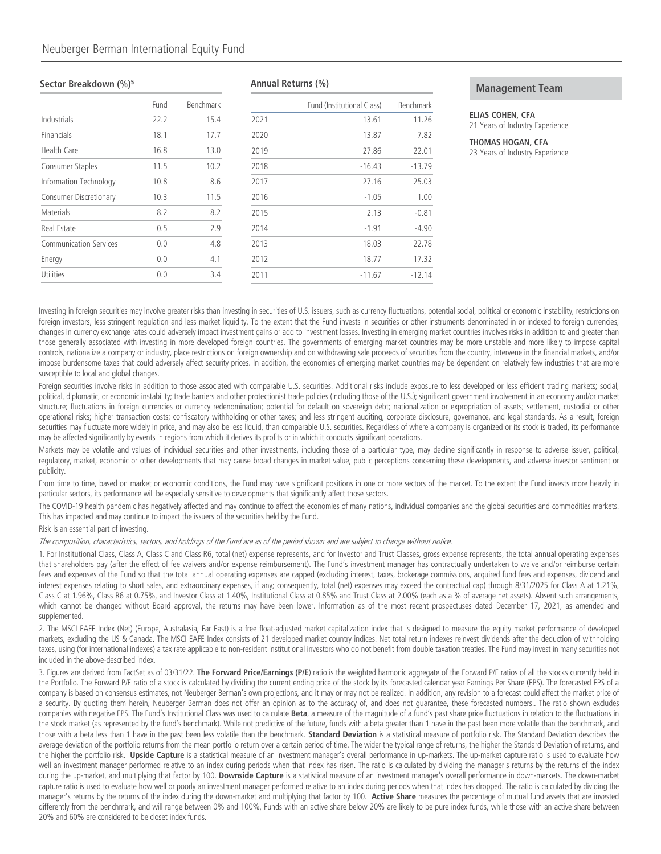#### **Sector Breakdown (%)5**

|                               | Fund           | Benchmark |
|-------------------------------|----------------|-----------|
| Industrials                   | 22.2           | 15.4      |
| Financials                    | 18.1           | 17.7      |
| <b>Health Care</b>            | 16.8           | 13.0      |
| Consumer Staples              | 11.5           | 10.2      |
| Information Technology        | 10.8           | 8.6       |
| <b>Consumer Discretionary</b> | 10.3           | 11.5      |
| Materials                     | 8.2            | 8.2       |
| Real Estate                   | 0.5            | 2.9       |
| <b>Communication Services</b> | 0.0            | 4.8       |
| Energy                        | 0.0            | 4.1       |
| Utilities                     | 0 <sub>0</sub> | 3.4       |

#### **Annual Returns (%)**

|      | Fund (Institutional Class) | Benchmark |
|------|----------------------------|-----------|
| 2021 | 13.61                      | 11.26     |
| 2020 | 13.87                      | 7.82      |
| 2019 | 27.86                      | 22.01     |
| 2018 | $-16.43$                   | $-13.79$  |
| 2017 | 27.16                      | 25.03     |
| 2016 | $-1.05$                    | 1.00      |
| 2015 | 2.13                       | $-0.81$   |
| 2014 | $-1.91$                    | -4.90     |
| 2013 | 18.03                      | 22.78     |
| 2012 | 18.77                      | 17.32     |
| 2011 | $-11.67$                   | $-12.14$  |

#### **Management Team**

## **ELIAS COHEN, CFA**

21 Years of Industry Experience

#### **THOMAS HOGAN, CFA**

23 Years of Industry Experience

Investing in foreign securities may involve greater risks than investing in securities of U.S. issuers, such as currency fluctuations, potential social, political or economic instability, restrictions on foreign investors, less stringent regulation and less market liquidity. To the extent that the Fund invests in securities or other instruments denominated in or indexed to foreign currencies, changes in currency exchange rates could adversely impact investment gains or add to investment losses. Investing in emerging market countries involves risks in addition to and greater than those generally associated with investing in more developed foreign countries. The governments of emerging market countries may be more unstable and more likely to impose capital controls, nationalize a company or industry, place restrictions on foreign ownership and on withdrawing sale proceeds of securities from the country, intervene in the financial markets, and/or impose burdensome taxes that could adversely affect security prices. In addition, the economies of emerging market countries may be dependent on relatively few industries that are more susceptible to local and global changes.

Foreign securities involve risks in addition to those associated with comparable U.S. securities. Additional risks include exposure to less developed or less efficient trading markets; social, political, diplomatic, or economic instability; trade barriers and other protectionist trade policies (including those of the U.S.); significant government involvement in an economy and/or market structure; fluctuations in foreign currencies or currency redenomination; potential for default on sovereign debt; nationalization or expropriation of assets; settlement, custodial or other operational risks; higher transaction costs; confiscatory withholding or other taxes; and less stringent auditing, corporate disclosure, governance, and legal standards. As a result, foreign securities may fluctuate more widely in price, and may also be less liquid, than comparable U.S. securities. Regardless of where a company is organized or its stock is traded, its performance may be affected significantly by events in regions from which it derives its profits or in which it conducts significant operations.

Markets may be volatile and values of individual securities and other investments, including those of a particular type, may decline significantly in response to adverse issuer, political, regulatory, market, economic or other developments that may cause broad changes in market value, public perceptions concerning these developments, and adverse investor sentiment or publicity.

From time to time, based on market or economic conditions, the Fund may have significant positions in one or more sectors of the market. To the extent the Fund invests more heavily in particular sectors, its performance will be especially sensitive to developments that significantly affect those sectors.

The COVID-19 health pandemic has negatively affected and may continue to affect the economies of many nations, individual companies and the global securities and commodities markets. This has impacted and may continue to impact the issuers of the securities held by the Fund.

Risk is an essential part of investing.

The composition, characteristics, sectors, and holdings of the Fund are as of the period shown and are subject to change without notice.

1. For Institutional Class, Class A, Class C and Class R6, total (net) expense represents, and for Investor and Trust Classes, gross expense represents, the total annual operating expenses that shareholders pay (after the effect of fee waivers and/or expense reimbursement). The Fund's investment manager has contractually undertaken to waive and/or reimburse certain fees and expenses of the Fund so that the total annual operating expenses are capped (excluding interest, taxes, brokerage commissions, acquired fund fees and expenses, dividend and interest expenses relating to short sales, and extraordinary expenses, if any; consequently, total (net) expenses may exceed the contractual cap) through 8/31/2025 for Class A at 1.21%, Class C at 1.96%, Class R6 at 0.75%, and Investor Class at 1.40%, Institutional Class at 0.85% and Trust Class at 2.00% (each as a % of average net assets). Absent such arrangements, which cannot be changed without Board approval, the returns may have been lower. Information as of the most recent prospectuses dated December 17, 2021, as amended and supplemented.

2. The MSCI EAFE Index (Net) (Europe, Australasia, Far East) is a free float-adjusted market capitalization index that is designed to measure the equity market performance of developed markets, excluding the US & Canada. The MSCI EAFE Index consists of 21 developed market country indices. Net total return indexes reinvest dividends after the deduction of withholding taxes, using (for international indexes) a tax rate applicable to non-resident institutional investors who do not benefit from double taxation treaties. The Fund may invest in many securities not included in the above-described index.

3. Figures are derived from FactSet as of 03/31/22. **The Forward Price/Earnings (P/E**) ratio is the weighted harmonic aggregate of the Forward P/E ratios of all the stocks currently held in the Portfolio. The Forward P/E ratio of a stock is calculated by dividing the current ending price of the stock by its forecasted calendar year Earnings Per Share (EPS). The forecasted EPS of a company is based on consensus estimates, not Neuberger Berman's own projections, and it may or may not be realized. In addition, any revision to a forecast could affect the market price of a security. By quoting them herein, Neuberger Berman does not offer an opinion as to the accuracy of, and does not quarantee, these forecasted numbers.. The ratio shown excludes companies with negative EPS. The Fund's Institutional Class was used to calculate **Beta**, a measure of the magnitude of a fund's past share price fluctuations in relation to the fluctuations in the stock market (as represented by the fund's benchmark). While not predictive of the future, funds with a beta greater than 1 have in the past been more volatile than the benchmark, and those with a beta less than 1 have in the past been less volatile than the benchmark. **Standard Deviation** is a statistical measure of portfolio risk. The Standard Deviation describes the average deviation of the portfolio returns from the mean portfolio return over a certain period of time. The wider the typical range of returns, the higher the Standard Deviation of returns, and the higher the portfolio risk. **Upside Capture** is a statistical measure of an investment manager's overall performance in up-markets. The up-market capture ratio is used to evaluate how well an investment manager performed relative to an index during periods when that index has risen. The ratio is calculated by dividing the manager's returns by the returns of the index during the up-market, and multiplying that factor by 100. **Downside Capture** is a statistical measure of an investment manager's overall performance in down-markets. The down-market capture ratio is used to evaluate how well or poorly an investment manager performed relative to an index during periods when that index has dropped. The ratio is calculated by dividing the manager's returns by the returns of the index during the down-market and multiplying that factor by 100. **Active Share** measures the percentage of mutual fund assets that are invested differently from the benchmark, and will range between 0% and 100%, Funds with an active share below 20% are likely to be pure index funds, while those with an active share between 20% and 60% are considered to be closet index funds.